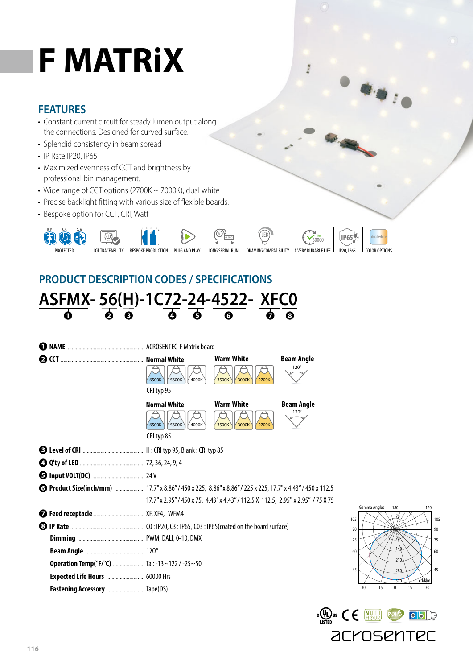# **F MATRiX**

### **FEATURES**

- Constant current circuit for steady lumen output along the connections. Designed for curved surface.
- Splendid consistency in beam spread
- IP Rate IP20, IP65
- Maximized evenness of CCT and brightness by professional bin management.
- Wide range of CCT options (2700K ~ 7000K), dual white
- Precise backlight fitting with various size of flexible boards.
- Bespoke option for CCT, CRI, Watt



**B** 

 $\left\Vert \psi_{B}\right\Vert _{0}$ 

# **PRODUCT DESCRIPTION CODES / SPECIFICATIONS**



| Я                                        | $\sqrt{5600K}$<br>6500K<br>4000K                                                                                                                                                                     | <b>Warm White</b><br>3500K<br>3000K<br>2700K | <b>Beam Angle</b><br>$120^\circ$ |  |  |  |
|------------------------------------------|------------------------------------------------------------------------------------------------------------------------------------------------------------------------------------------------------|----------------------------------------------|----------------------------------|--|--|--|
|                                          | CRI typ 95<br><b>Normal White</b><br>6500K<br>Y 5600K<br>4000K<br>CRI typ 85                                                                                                                         | <b>Warm White</b><br>3500K<br>3000K<br>2700K | <b>Beam Angle</b><br>$120^\circ$ |  |  |  |
|                                          |                                                                                                                                                                                                      |                                              |                                  |  |  |  |
|                                          |                                                                                                                                                                                                      |                                              |                                  |  |  |  |
|                                          |                                                                                                                                                                                                      |                                              |                                  |  |  |  |
|                                          | <b>6 Product Size(inch/mm)</b> 17.7" x 8.86" / 450 x 225, 8.86" x 8.86" / 225 x 225, 17.7" x 4.43" / 450 x 112,5<br>17.7" x 2.95" / 450 x 75, 4.43" x 4.43" / 112.5 X 112.5, 2.95" x 2.95" / 75 X 75 |                                              |                                  |  |  |  |
|                                          |                                                                                                                                                                                                      |                                              |                                  |  |  |  |
|                                          |                                                                                                                                                                                                      |                                              |                                  |  |  |  |
|                                          |                                                                                                                                                                                                      |                                              |                                  |  |  |  |
|                                          |                                                                                                                                                                                                      |                                              |                                  |  |  |  |
| Operation Temp(°F/°C)  Ta:-13~122/-25~50 |                                                                                                                                                                                                      |                                              |                                  |  |  |  |
| <b>Expected Life Hours  60000 Hrs</b>    |                                                                                                                                                                                                      |                                              |                                  |  |  |  |
| Fastening Accessory  Tape(DS)            |                                                                                                                                                                                                      |                                              |                                  |  |  |  |



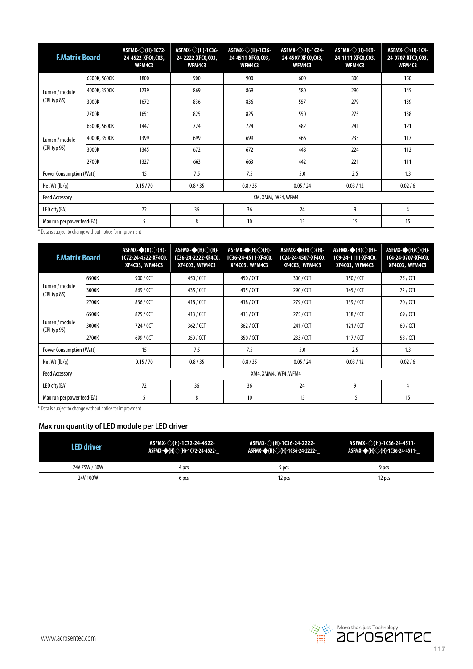| <b>F.Matrix Board</b>                                             |                                                           | ASFMX-◇(H)-1C72-<br>24-4522 XFC0,C03,<br>WFM4C3 | ASFMX-◇(H)-1C36-<br>24-2222-XFC0,C03,<br>WFM4C3 | ASFMX- $\diamondsuit$ (H)-1C36-<br>24-4511 XFC0,C03,<br>WFM4C3 | ASFMX-◇(H)-1C24-<br>24-4507 XFC0,C03,<br>WFM4C3 | ASFMX-◇(H)-1C9-<br>24-1111-XFC0,C03,<br><b>WFM4C3</b> | ASFMX-◇(H)-1C4-<br>24-0707-XFC0,C03,<br>WFM4C3 |
|-------------------------------------------------------------------|-----------------------------------------------------------|-------------------------------------------------|-------------------------------------------------|----------------------------------------------------------------|-------------------------------------------------|-------------------------------------------------------|------------------------------------------------|
| Lumen / module<br>$(CRI$ typ 85)                                  | 6500K, 5600K                                              | 1800                                            | 900                                             | 900                                                            | 600                                             | 300                                                   | 150                                            |
|                                                                   | 4000K, 3500K                                              | 1739                                            | 869                                             | 869                                                            | 580                                             | 290                                                   | 145                                            |
|                                                                   | 3000K                                                     | 1672                                            | 836                                             | 836                                                            | 557                                             | 279                                                   | 139                                            |
|                                                                   | 2700K                                                     | 1651                                            | 825                                             | 825                                                            | 550                                             | 275                                                   | 138                                            |
| Lumen / module<br>(CRI typ 95)                                    | 6500K, 5600K                                              | 1447                                            | 724                                             | 724                                                            | 482                                             | 241                                                   | 121                                            |
|                                                                   | 4000K, 3500K                                              | 1399                                            | 699                                             | 699                                                            | 466                                             | 233                                                   | 117                                            |
|                                                                   | 3000K                                                     | 1345                                            | 672                                             | 672                                                            | 448                                             | 224                                                   | 112                                            |
|                                                                   | 2700K                                                     | 1327                                            | 663                                             | 663                                                            | 442                                             | 221                                                   | 111                                            |
| 15<br>7.5<br>7.5<br>5.0<br>2.5<br><b>Power Consumption (Watt)</b> |                                                           |                                                 | 1.3                                             |                                                                |                                                 |                                                       |                                                |
| Net Wt $(lb/q)$                                                   | 0.15 / 70<br>0.8/35<br>0.8 / 35<br>0.05 / 24<br>0.03 / 12 |                                                 | 0.02/6                                          |                                                                |                                                 |                                                       |                                                |
| <b>Feed Accessory</b>                                             | XM, XMM, WF4, WFM4                                        |                                                 |                                                 |                                                                |                                                 |                                                       |                                                |
| LED q'ty(EA)                                                      | 72<br>9<br>36<br>36<br>24                                 |                                                 | 4                                               |                                                                |                                                 |                                                       |                                                |
| 5<br>8<br>15<br>15<br>Max run per power feed(EA)<br>10            |                                                           | 15                                              |                                                 |                                                                |                                                 |                                                       |                                                |

\* Data is subject to change without notice for improvment

| <b>F.Matrix Board</b>                |                      | ASFMX-◆(H)◇(H)-<br>1C72-24-4522-XF4C0,<br>XF4C03, WFM4C3 | ASFMX-◆(H)◇(H)-<br>1C36-24-2222-XF4C0,<br>XF4C03, WFM4C3 | $ASFMX-+(H)\diamondsuit(H)$ -<br>1C36-24-4511-XF4C0,<br>XF4C03, WFM4C3 | $ASFMX \rightarrow (H) \diagdown (H)$<br>1C24-24-4507-XF4C0,<br><b>XF4C03, WFM4C3</b> | ASFMX-◆(H)◇(H)-<br>1C9-24-1111-XF4C0,<br>XF4C03, WFM4C3 | ASFMX-◆(H)◇(H)-<br>1C4-24-0707-XF4C0,<br>XF4C03, WFM4C3 |
|--------------------------------------|----------------------|----------------------------------------------------------|----------------------------------------------------------|------------------------------------------------------------------------|---------------------------------------------------------------------------------------|---------------------------------------------------------|---------------------------------------------------------|
| Lumen / module<br>$(CRI$ typ 85)     | 6500K                | 900 / CCT                                                | 450 / CCT                                                | 450 / CCT                                                              | 300 / CCT                                                                             | 150 / CCT                                               | 75 / CCT                                                |
|                                      | 3000K                | 869 / CCT                                                | 435 / CCT                                                | 435 / CCT                                                              | 290 / CCT                                                                             | 145 / CCT                                               | 72 / CCT                                                |
|                                      | 2700K                | 836 / CCT                                                | 418/CCT                                                  | 418/CCT                                                                | 279 / CCT                                                                             | 139 / CCT                                               | 70 / CCT                                                |
| Lumen / module<br>(CRI typ 95)       | 6500K                | 825 / CCT                                                | 413 / CCT                                                | 413/CCT                                                                | 275 / CCT                                                                             | 138 / CCT                                               | 69 / CCT                                                |
|                                      | 3000K                | 724 / CCT                                                | 362 / CCT                                                | 362/CCT                                                                | 241 / CCT                                                                             | 121 / CCT                                               | 60 / CCT                                                |
|                                      | 2700K                | 699 / CCT                                                | 350 / CCT                                                | 350 / CCT                                                              | 233 / CCT                                                                             | 117 / CCT                                               | 58 / CCT                                                |
| <b>Power Consumption (Watt)</b>      |                      | 15                                                       | 7.5                                                      | 7.5                                                                    | 5.0                                                                                   | 2.5                                                     | 1.3                                                     |
| Net Wt $(lb/q)$                      |                      | 0.15 / 70                                                | 0.8/35                                                   | 0.8 / 35                                                               | 0.05 / 24                                                                             | 0.03 / 12                                               | 0.02/6                                                  |
| <b>Feed Accessory</b>                | XM4, XMM4, WF4, WFM4 |                                                          |                                                          |                                                                        |                                                                                       |                                                         |                                                         |
| 72<br>36<br>36<br>LED q'ty(EA)       |                      | 24                                                       | 9                                                        | 4                                                                      |                                                                                       |                                                         |                                                         |
| 5<br>8<br>Max run per power feed(EA) |                      |                                                          | 10                                                       | 15                                                                     | 15                                                                                    | 15                                                      |                                                         |

\* Data is subject to change without notice for improvment

#### **Max run quantity of LED module per LED driver**

| <b>LED</b> driver | ASFMX- $\diamond$ (H)-1C72-24-4522-<br>ASFMX-◆(H)◇(H)-1C72-24-4522- | $A$ SFMX- $\Diamond$ (H)-1C36-24-2222-<br>ASFMX-◆(H)◇(H)-1C36-24-2222- | ASFMX-◇(H)-1C36-24-4511-<br>$A$ SFMX- $\bigcirc$ (H) $\bigcirc$ (H)-1C36-24-4511- |
|-------------------|---------------------------------------------------------------------|------------------------------------------------------------------------|-----------------------------------------------------------------------------------|
| 24V 75W / 80W     | 4 pcs                                                               | 9 pcs                                                                  | 9 pcs                                                                             |
| 24V 100W          | 6 pcs                                                               | 12 pcs                                                                 | 12 pcs                                                                            |

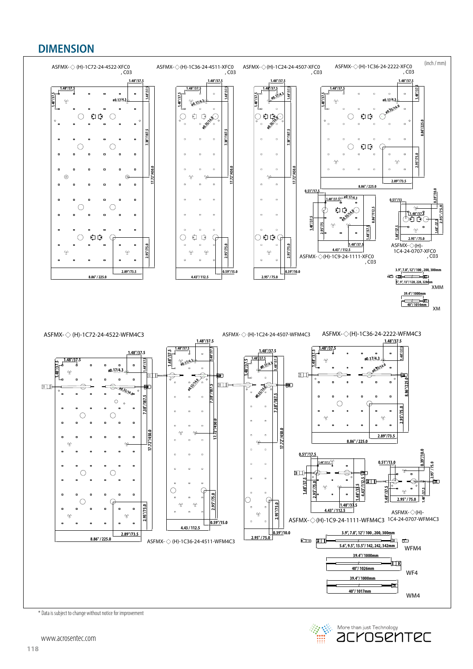## **DIMENSION**



More than just Technology<br>**aCYOSEMTEC** 察